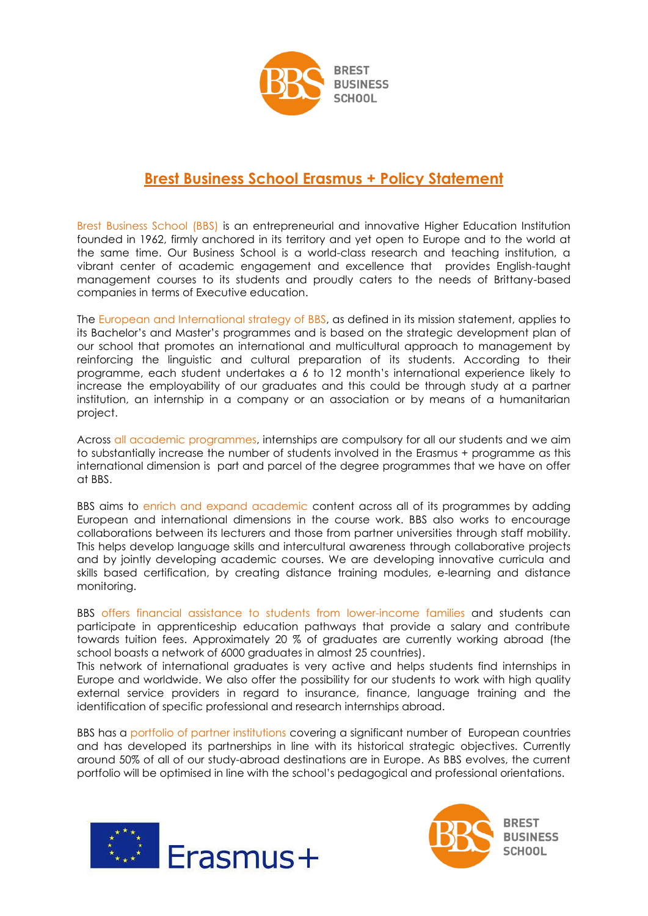

## **Brest Business School Erasmus + Policy Statement**

Brest Business School (BBS) is an entrepreneurial and innovative Higher Education Institution founded in 1962, firmly anchored in its territory and yet open to Europe and to the world at the same time. Our Business School is a world-class research and teaching institution, a vibrant center of academic engagement and excellence that provides English-taught management courses to its students and proudly caters to the needs of Brittany-based companies in terms of Executive education.

The European and International strategy of BBS, as defined in its mission statement, applies to its Bachelor's and Master's programmes and is based on the strategic development plan of our school that promotes an international and multicultural approach to management by reinforcing the linguistic and cultural preparation of its students. According to their programme, each student undertakes a 6 to 12 month's international experience likely to increase the employability of our graduates and this could be through study at a partner institution, an internship in a company or an association or by means of a humanitarian project.

Across all academic programmes, internships are compulsory for all our students and we aim to substantially increase the number of students involved in the Erasmus + programme as this international dimension is part and parcel of the degree programmes that we have on offer at BBS.

BBS aims to enrich and expand academic content across all of its programmes by adding European and international dimensions in the course work. BBS also works to encourage collaborations between its lecturers and those from partner universities through staff mobility. This helps develop language skills and intercultural awareness through collaborative projects and by jointly developing academic courses. We are developing innovative curricula and skills based certification, by creating distance training modules, e-learning and distance monitoring.

BBS offers financial assistance to students from lower-income families and students can participate in apprenticeship education pathways that provide a salary and contribute towards tuition fees. Approximately 20 % of graduates are currently working abroad (the school boasts a network of 6000 graduates in almost 25 countries).

This network of international graduates is very active and helps students find internships in Europe and worldwide. We also offer the possibility for our students to work with high quality external service providers in regard to insurance, finance, language training and the identification of specific professional and research internships abroad.

BBS has a portfolio of partner institutions covering a significant number of European countries and has developed its partnerships in line with its historical strategic objectives. Currently around 50% of all of our study-abroad destinations are in Europe. As BBS evolves, the current portfolio will be optimised in line with the school's pedagogical and professional orientations.



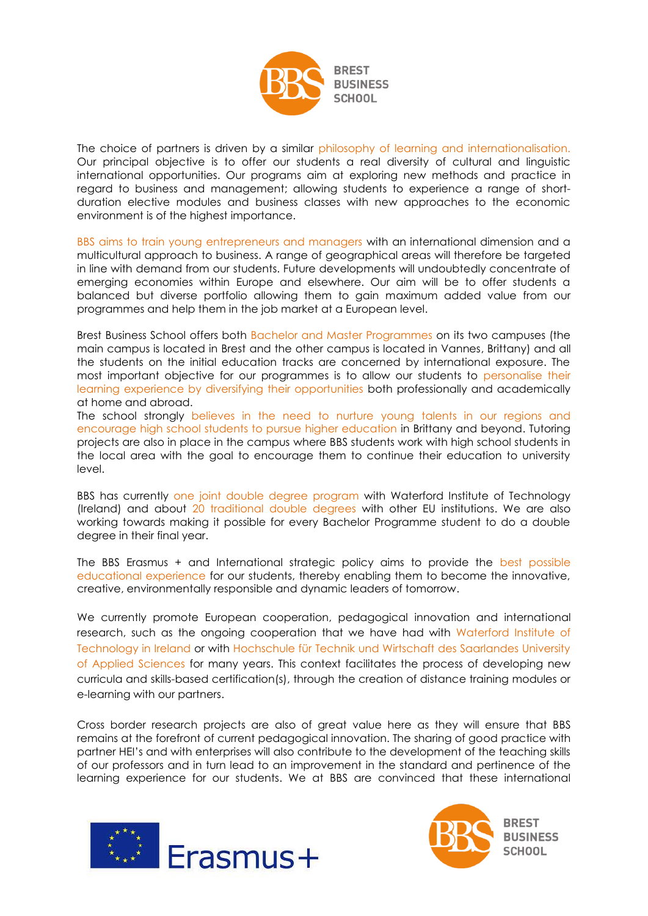

The choice of partners is driven by a similar philosophy of learning and internationalisation. Our principal objective is to offer our students a real diversity of cultural and linguistic international opportunities. Our programs aim at exploring new methods and practice in regard to business and management; allowing students to experience a range of shortduration elective modules and business classes with new approaches to the economic environment is of the highest importance.

BBS aims to train young entrepreneurs and managers with an international dimension and a multicultural approach to business. A range of geographical areas will therefore be targeted in line with demand from our students. Future developments will undoubtedly concentrate of emerging economies within Europe and elsewhere. Our aim will be to offer students a balanced but diverse portfolio allowing them to gain maximum added value from our programmes and help them in the job market at a European level.

Brest Business School offers both Bachelor and Master Programmes on its two campuses (the main campus is located in Brest and the other campus is located in Vannes, Brittany) and all the students on the initial education tracks are concerned by international exposure. The most important objective for our programmes is to allow our students to personalise their learning experience by diversifying their opportunities both professionally and academically at home and abroad.

The school strongly believes in the need to nurture young talents in our regions and encourage high school students to pursue higher education in Brittany and beyond. Tutoring projects are also in place in the campus where BBS students work with high school students in the local area with the goal to encourage them to continue their education to university level.

BBS has currently one joint double degree program with Waterford Institute of Technology (Ireland) and about 20 traditional double degrees with other EU institutions. We are also working towards making it possible for every Bachelor Programme student to do a double degree in their final year.

The BBS Erasmus + and International strategic policy aims to provide the best possible educational experience for our students, thereby enabling them to become the innovative, creative, environmentally responsible and dynamic leaders of tomorrow.

We currently promote European cooperation, pedagogical innovation and international research, such as the ongoing cooperation that we have had with Waterford Institute of Technology in Ireland or with Hochschule für Technik und Wirtschaft des Saarlandes University of Applied Sciences for many years. This context facilitates the process of developing new curricula and skills-based certification(s), through the creation of distance training modules or e-learning with our partners.

Cross border research projects are also of great value here as they will ensure that BBS remains at the forefront of current pedagogical innovation. The sharing of good practice with partner HEI's and with enterprises will also contribute to the development of the teaching skills of our professors and in turn lead to an improvement in the standard and pertinence of the learning experience for our students. We at BBS are convinced that these international





**BREST BUSINESS SCHOOL**